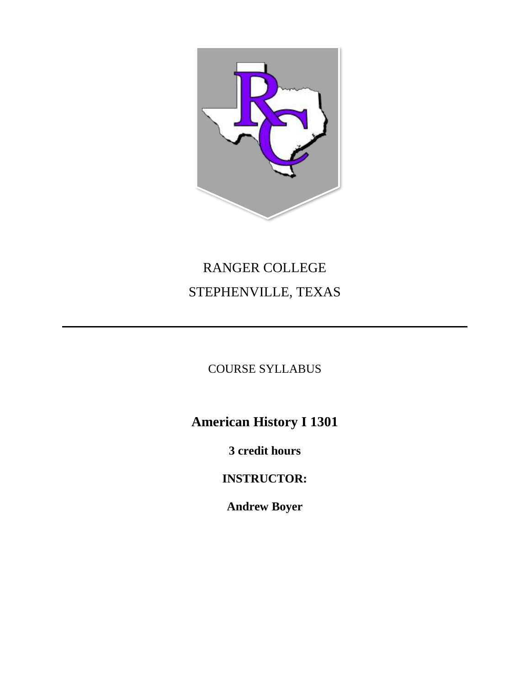

# RANGER COLLEGE STEPHENVILLE, TEXAS

## COURSE SYLLABUS

**American History I 1301**

**3 credit hours**

**INSTRUCTOR:**

**Andrew Boyer**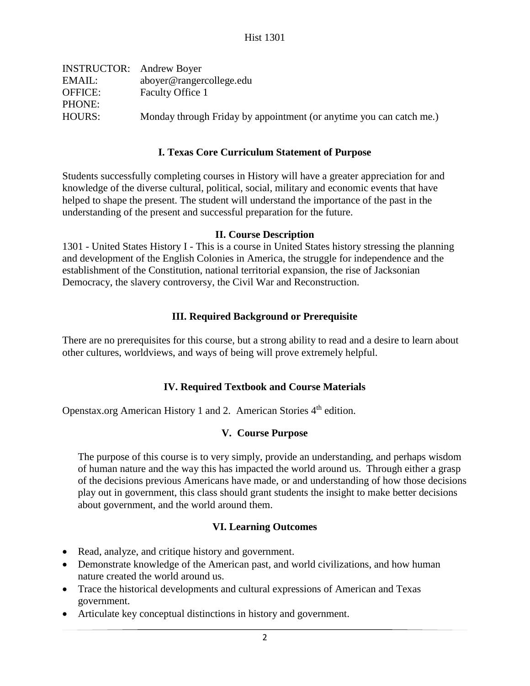| <b>INSTRUCTOR:</b> Andrew Boyer |                                                                     |
|---------------------------------|---------------------------------------------------------------------|
| EMAIL:                          | aboyer@rangercollege.edu                                            |
| <b>OFFICE:</b>                  | Faculty Office 1                                                    |
| PHONE:                          |                                                                     |
| HOURS:                          | Monday through Friday by appointment (or anytime you can catch me.) |
|                                 |                                                                     |

#### **I. Texas Core Curriculum Statement of Purpose**

Students successfully completing courses in History will have a greater appreciation for and knowledge of the diverse cultural, political, social, military and economic events that have helped to shape the present. The student will understand the importance of the past in the understanding of the present and successful preparation for the future.

#### **II. Course Description**

1301 - United States History I - This is a course in United States history stressing the planning and development of the English Colonies in America, the struggle for independence and the establishment of the Constitution, national territorial expansion, the rise of Jacksonian Democracy, the slavery controversy, the Civil War and Reconstruction.

#### **III. Required Background or Prerequisite**

There are no prerequisites for this course, but a strong ability to read and a desire to learn about other cultures, worldviews, and ways of being will prove extremely helpful.

#### **IV. Required Textbook and Course Materials**

Openstax.org American History 1 and 2. American Stories 4<sup>th</sup> edition.

#### **V. Course Purpose**

The purpose of this course is to very simply, provide an understanding, and perhaps wisdom of human nature and the way this has impacted the world around us. Through either a grasp of the decisions previous Americans have made, or and understanding of how those decisions play out in government, this class should grant students the insight to make better decisions about government, and the world around them.

#### **VI. Learning Outcomes**

- Read, analyze, and critique history and government.
- Demonstrate knowledge of the American past, and world civilizations, and how human nature created the world around us.
- Trace the historical developments and cultural expressions of American and Texas government.
- Articulate key conceptual distinctions in history and government.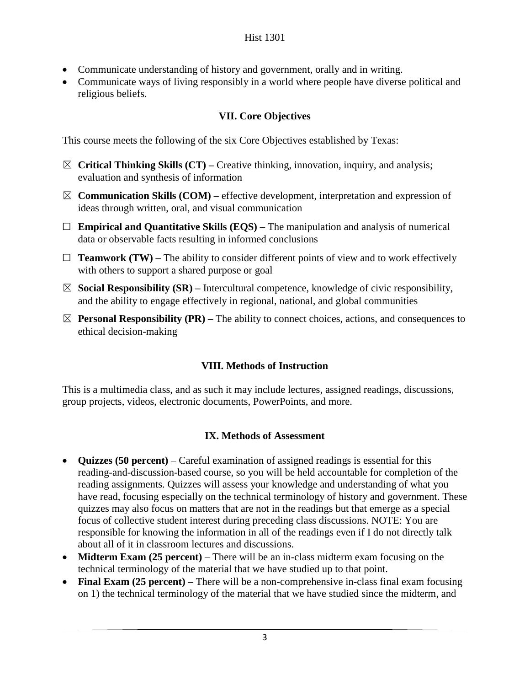- Communicate understanding of history and government, orally and in writing.
- Communicate ways of living responsibly in a world where people have diverse political and religious beliefs.

## **VII. Core Objectives**

This course meets the following of the six Core Objectives established by Texas:

- ☒ **Critical Thinking Skills (CT) –** Creative thinking, innovation, inquiry, and analysis; evaluation and synthesis of information
- ☒ **Communication Skills (COM) –** effective development, interpretation and expression of ideas through written, oral, and visual communication
- ☐ **Empirical and Quantitative Skills (EQS) –** The manipulation and analysis of numerical data or observable facts resulting in informed conclusions
- $\Box$  **Teamwork (TW)** The ability to consider different points of view and to work effectively with others to support a shared purpose or goal
- ☒ **Social Responsibility (SR) –** Intercultural competence, knowledge of civic responsibility, and the ability to engage effectively in regional, national, and global communities
- $\boxtimes$  **Personal Responsibility (PR)** The ability to connect choices, actions, and consequences to ethical decision-making

## **VIII. Methods of Instruction**

This is a multimedia class, and as such it may include lectures, assigned readings, discussions, group projects, videos, electronic documents, PowerPoints, and more.

## **IX. Methods of Assessment**

- **Quizzes (50 percent)** Careful examination of assigned readings is essential for this reading-and-discussion-based course, so you will be held accountable for completion of the reading assignments. Quizzes will assess your knowledge and understanding of what you have read, focusing especially on the technical terminology of history and government. These quizzes may also focus on matters that are not in the readings but that emerge as a special focus of collective student interest during preceding class discussions. NOTE: You are responsible for knowing the information in all of the readings even if I do not directly talk about all of it in classroom lectures and discussions.
- **Midterm Exam (25 percent)** There will be an in-class midterm exam focusing on the technical terminology of the material that we have studied up to that point.
- **Final Exam (25 percent) –** There will be a non-comprehensive in-class final exam focusing on 1) the technical terminology of the material that we have studied since the midterm, and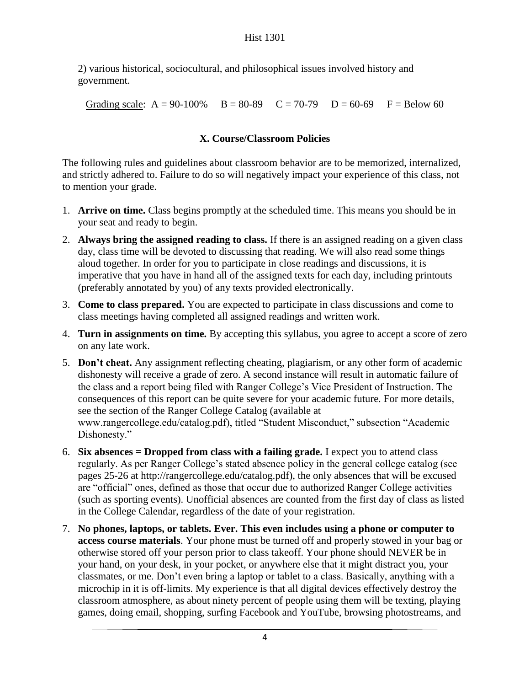2) various historical, sociocultural, and philosophical issues involved history and government.

Grading scale:  $A = 90-100\%$   $B = 80-89$   $C = 70-79$   $D = 60-69$   $F = Below 60$ 

## **X. Course/Classroom Policies**

The following rules and guidelines about classroom behavior are to be memorized, internalized, and strictly adhered to. Failure to do so will negatively impact your experience of this class, not to mention your grade.

- 1. **Arrive on time.** Class begins promptly at the scheduled time. This means you should be in your seat and ready to begin.
- 2. **Always bring the assigned reading to class.** If there is an assigned reading on a given class day, class time will be devoted to discussing that reading. We will also read some things aloud together. In order for you to participate in close readings and discussions, it is imperative that you have in hand all of the assigned texts for each day, including printouts (preferably annotated by you) of any texts provided electronically.
- 3. **Come to class prepared.** You are expected to participate in class discussions and come to class meetings having completed all assigned readings and written work.
- 4. **Turn in assignments on time.** By accepting this syllabus, you agree to accept a score of zero on any late work.
- 5. **Don't cheat.** Any assignment reflecting cheating, plagiarism, or any other form of academic dishonesty will receive a grade of zero. A second instance will result in automatic failure of the class and a report being filed with Ranger College's Vice President of Instruction. The consequences of this report can be quite severe for your academic future. For more details, see the section of the Ranger College Catalog (available at www.rangercollege.edu/catalog.pdf), titled "Student Misconduct," subsection "Academic Dishonesty."
- 6. **Six absences = Dropped from class with a failing grade.** I expect you to attend class regularly. As per Ranger College's stated absence policy in the general college catalog (see pages 25-26 at http://rangercollege.edu/catalog.pdf), the only absences that will be excused are "official" ones, defined as those that occur due to authorized Ranger College activities (such as sporting events). Unofficial absences are counted from the first day of class as listed in the College Calendar, regardless of the date of your registration.
- 7. **No phones, laptops, or tablets. Ever. This even includes using a phone or computer to access course materials**. Your phone must be turned off and properly stowed in your bag or otherwise stored off your person prior to class takeoff. Your phone should NEVER be in your hand, on your desk, in your pocket, or anywhere else that it might distract you, your classmates, or me. Don't even bring a laptop or tablet to a class. Basically, anything with a microchip in it is off-limits. My experience is that all digital devices effectively destroy the classroom atmosphere, as about ninety percent of people using them will be texting, playing games, doing email, shopping, surfing Facebook and YouTube, browsing photostreams, and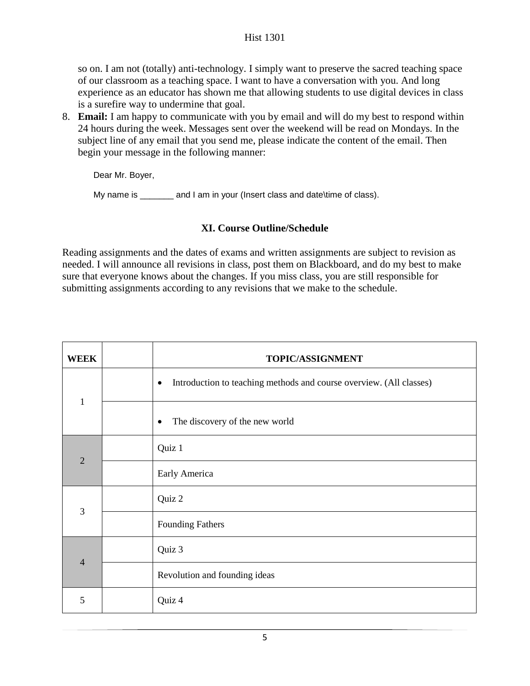so on. I am not (totally) anti-technology. I simply want to preserve the sacred teaching space of our classroom as a teaching space. I want to have a conversation with you. And long experience as an educator has shown me that allowing students to use digital devices in class is a surefire way to undermine that goal.

8. **Email:** I am happy to communicate with you by email and will do my best to respond within 24 hours during the week. Messages sent over the weekend will be read on Mondays. In the subject line of any email that you send me, please indicate the content of the email. Then begin your message in the following manner:

Dear Mr. Boyer,

My name is \_\_\_\_\_\_\_ and I am in your (Insert class and date\time of class).

### **XI. Course Outline/Schedule**

Reading assignments and the dates of exams and written assignments are subject to revision as needed. I will announce all revisions in class, post them on Blackboard, and do my best to make sure that everyone knows about the changes. If you miss class, you are still responsible for submitting assignments according to any revisions that we make to the schedule.

| WEEK           | TOPIC/ASSIGNMENT                                                                 |
|----------------|----------------------------------------------------------------------------------|
| $\mathbf{1}$   | Introduction to teaching methods and course overview. (All classes)<br>$\bullet$ |
|                | The discovery of the new world<br>$\bullet$                                      |
| $\overline{2}$ | Quiz 1                                                                           |
|                | Early America                                                                    |
| 3              | Quiz 2                                                                           |
|                | <b>Founding Fathers</b>                                                          |
| $\overline{4}$ | Quiz 3                                                                           |
|                | Revolution and founding ideas                                                    |
| 5              | Quiz 4                                                                           |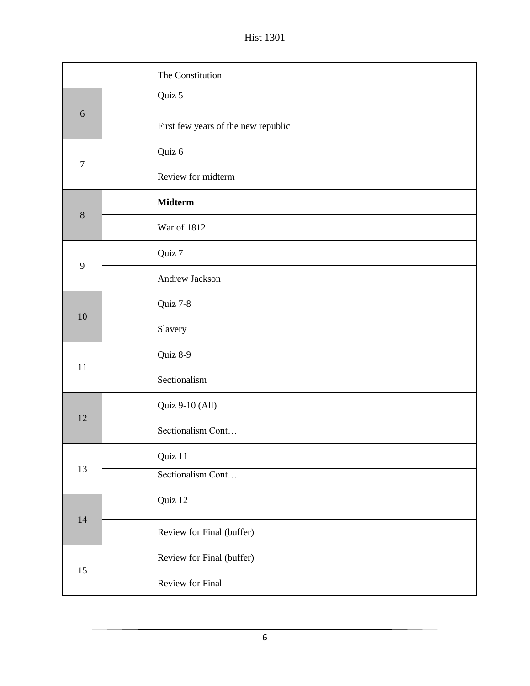Hist 1301

|                | The Constitution                    |
|----------------|-------------------------------------|
| 6              | Quiz 5                              |
|                | First few years of the new republic |
| $\overline{7}$ | Quiz 6                              |
|                | Review for midterm                  |
| 8              | <b>Midterm</b>                      |
|                | War of 1812                         |
| 9              | Quiz 7                              |
|                | Andrew Jackson                      |
| 10             | Quiz 7-8                            |
|                | Slavery                             |
|                | Quiz 8-9                            |
| 11             | Sectionalism                        |
| 12             | Quiz 9-10 (All)                     |
|                | Sectionalism Cont                   |
| 13             | Quiz 11                             |
|                | Sectionalism Cont                   |
| 14             | Quiz 12                             |
|                | Review for Final (buffer)           |
| 15             | Review for Final (buffer)           |
|                | Review for Final                    |